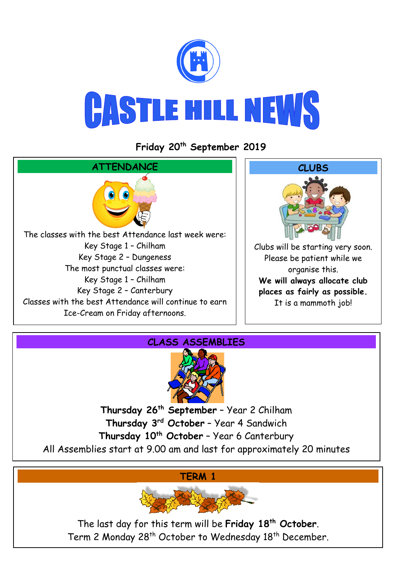

**Friday 20th September 2019**





**Thursday 26th September** – Year 2 Chilham **Thursday 3rd October** – Year 4 Sandwich **Thursday 10th October** – Year 6 Canterbury All Assemblies start at 9.00 am and last for approximately 20 minutes

**TERM 1**



The last day for this term will be **Friday 18th October**. Term 2 Monday 28<sup>th</sup> October to Wednesday 18<sup>th</sup> December.